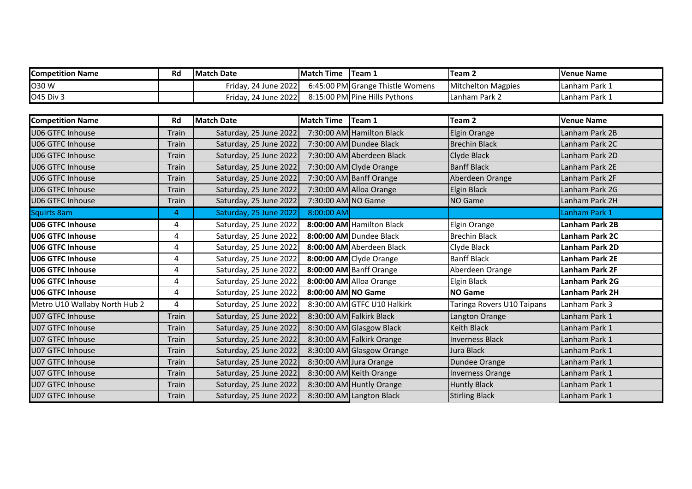| <b>Competition Name</b> | Rd | <b>IMatch Date</b>   | <b>IMatch Time</b> | $T$ eam $T$                      | <b>ITeam 2</b>            | Venue Name      |
|-------------------------|----|----------------------|--------------------|----------------------------------|---------------------------|-----------------|
| O30 W                   |    | Friday. 24 June 2022 |                    | 6:45:00 PM Grange Thistle Womens | <b>Mitchelton Magpies</b> | l Lanham Park 1 |
| <b>O45 Div 3</b>        |    | Friday, 24 June 2022 |                    | 8:15:00 PM Pine Hills Pythons    | ILanham Park 2            | Lanham Park 1   |

| <b>Competition Name</b>       | Rd           | <b>Match Date</b>      | <b>Match Time</b>  | Team 1                      | Team <sub>2</sub>          | <b>Venue Name</b> |
|-------------------------------|--------------|------------------------|--------------------|-----------------------------|----------------------------|-------------------|
| <b>J06 GTFC Inhouse</b>       | Train        | Saturday, 25 June 2022 |                    | 7:30:00 AM Hamilton Black   | Elgin Orange               | Lanham Park 2B    |
| <b>U06 GTFC Inhouse</b>       | Train        | Saturday, 25 June 2022 |                    | 7:30:00 AM Dundee Black     | <b>Brechin Black</b>       | Lanham Park 2C    |
| <b>U06 GTFC Inhouse</b>       | Train        | Saturday, 25 June 2022 |                    | 7:30:00 AM Aberdeen Black   | Clyde Black                | Lanham Park 2D    |
| <b>U06 GTFC Inhouse</b>       | Train        | Saturday, 25 June 2022 |                    | 7:30:00 AM Clyde Orange     | <b>Banff Black</b>         | Lanham Park 2E    |
| <b>U06 GTFC Inhouse</b>       | <b>Train</b> | Saturday, 25 June 2022 |                    | 7:30:00 AM Banff Orange     | Aberdeen Orange            | Lanham Park 2F    |
| <b>U06 GTFC Inhouse</b>       | <b>Train</b> | Saturday, 25 June 2022 |                    | 7:30:00 AM Alloa Orange     | <b>Elgin Black</b>         | Lanham Park 2G    |
| U06 GTFC Inhouse              | Train        | Saturday, 25 June 2022 | 7:30:00 AM NO Game |                             | NO Game                    | Lanham Park 2H    |
| <b>Squirts 8am</b>            | 4            | Saturday, 25 June 2022 | 8:00:00 AM         |                             |                            | Lanham Park 1     |
| <b>U06 GTFC Inhouse</b>       | 4            | Saturday, 25 June 2022 |                    | 8:00:00 AM Hamilton Black   | Elgin Orange               | Lanham Park 2B    |
| <b>U06 GTFC Inhouse</b>       | 4            | Saturday, 25 June 2022 |                    | 8:00:00 AM Dundee Black     | <b>Brechin Black</b>       | Lanham Park 2C    |
| <b>U06 GTFC Inhouse</b>       | 4            | Saturday, 25 June 2022 |                    | 8:00:00 AM Aberdeen Black   | Clyde Black                | Lanham Park 2D    |
| <b>U06 GTFC Inhouse</b>       | 4            | Saturday, 25 June 2022 |                    | 8:00:00 AM Clyde Orange     | <b>Banff Black</b>         | Lanham Park 2E    |
| <b>U06 GTFC Inhouse</b>       | 4            | Saturday, 25 June 2022 |                    | 8:00:00 AM Banff Orange     | Aberdeen Orange            | Lanham Park 2F    |
| U06 GTFC Inhouse              | 4            | Saturday, 25 June 2022 |                    | 8:00:00 AM Alloa Orange     | Elgin Black                | Lanham Park 2G    |
| <b>U06 GTFC Inhouse</b>       | 4            | Saturday, 25 June 2022 | 8:00:00 AM NO Game |                             | <b>NO Game</b>             | Lanham Park 2H    |
| Metro U10 Wallaby North Hub 2 | 4            | Saturday, 25 June 2022 |                    | 8:30:00 AM GTFC U10 Halkirk | Taringa Rovers U10 Taipans | Lanham Park 3     |
| <b>U07 GTFC Inhouse</b>       | <b>Train</b> | Saturday, 25 June 2022 |                    | 8:30:00 AM Falkirk Black    | Langton Orange             | Lanham Park 1     |
| <b>J07 GTFC Inhouse</b>       | Train        | Saturday, 25 June 2022 |                    | 8:30:00 AM Glasgow Black    | <b>Keith Black</b>         | Lanham Park 1     |
| U07 GTFC Inhouse              | Train        | Saturday, 25 June 2022 |                    | 8:30:00 AM Falkirk Orange   | <b>Inverness Black</b>     | Lanham Park 1     |
| J07 GTFC Inhouse              | <b>Train</b> | Saturday, 25 June 2022 |                    | 8:30:00 AM Glasgow Orange   | Jura Black                 | Lanham Park 1     |
| <b>U07 GTFC Inhouse</b>       | <b>Train</b> | Saturday, 25 June 2022 |                    | 8:30:00 AM Jura Orange      | Dundee Orange              | Lanham Park 1     |
| U07 GTFC Inhouse              | Train        | Saturday, 25 June 2022 |                    | 8:30:00 AM Keith Orange     | <b>Inverness Orange</b>    | Lanham Park 1     |
| <b>U07 GTFC Inhouse</b>       | Train        | Saturday, 25 June 2022 |                    | 8:30:00 AM Huntly Orange    | <b>Huntly Black</b>        | Lanham Park 1     |
| <b>U07 GTFC Inhouse</b>       | Train        | Saturday, 25 June 2022 |                    | 8:30:00 AM Langton Black    | <b>Stirling Black</b>      | Lanham Park 1     |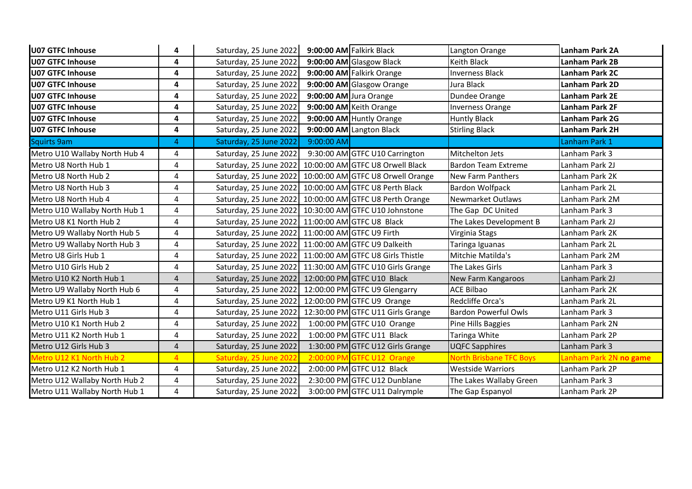| U07 GTFC Inhouse              | 4              | Saturday, 25 June 2022 |            | 9:00:00 AM Falkirk Black          | Langton Orange                 | Lanham Park 2A         |
|-------------------------------|----------------|------------------------|------------|-----------------------------------|--------------------------------|------------------------|
| <b>U07 GTFC Inhouse</b>       | 4              | Saturday, 25 June 2022 |            | 9:00:00 AM Glasgow Black          | Keith Black                    | <b>Lanham Park 2B</b>  |
| <b>U07 GTFC Inhouse</b>       | 4              | Saturday, 25 June 2022 |            | 9:00:00 AM Falkirk Orange         | <b>Inverness Black</b>         | Lanham Park 2C         |
| <b>U07 GTFC Inhouse</b>       | 4              | Saturday, 25 June 2022 |            | 9:00:00 AM Glasgow Orange         | Jura Black                     | Lanham Park 2D         |
| <b>U07 GTFC Inhouse</b>       | 4              | Saturday, 25 June 2022 |            | 9:00:00 AM Jura Orange            | Dundee Orange                  | Lanham Park 2E         |
| <b>U07 GTFC Inhouse</b>       | 4              | Saturday, 25 June 2022 |            | 9:00:00 AM Keith Orange           | <b>Inverness Orange</b>        | Lanham Park 2F         |
| <b>U07 GTFC Inhouse</b>       | 4              | Saturday, 25 June 2022 |            | 9:00:00 AM Huntly Orange          | <b>Huntly Black</b>            | Lanham Park 2G         |
| <b>U07 GTFC Inhouse</b>       | 4              | Saturday, 25 June 2022 |            | 9:00:00 AM Langton Black          | <b>Stirling Black</b>          | Lanham Park 2H         |
| Squirts 9am                   | 4              | Saturday, 25 June 2022 | 9:00:00 AM |                                   |                                | Lanham Park 1          |
| Metro U10 Wallaby North Hub 4 | 4              | Saturday, 25 June 2022 |            | 9:30:00 AM GTFC U10 Carrington    | <b>Mitchelton Jets</b>         | Lanham Park 3          |
| Metro U8 North Hub 1          | 4              | Saturday, 25 June 2022 |            | 10:00:00 AM GTFC U8 Orwell Black  | Bardon Team Extreme            | Lanham Park 2J         |
| Metro U8 North Hub 2          | 4              | Saturday, 25 June 2022 |            | 10:00:00 AM GTFC U8 Orwell Orange | <b>New Farm Panthers</b>       | Lanham Park 2K         |
| Metro U8 North Hub 3          | 4              | Saturday, 25 June 2022 |            | 10:00:00 AM GTFC U8 Perth Black   | <b>Bardon Wolfpack</b>         | Lanham Park 2L         |
| Metro U8 North Hub 4          | 4              | Saturday, 25 June 2022 |            | 10:00:00 AM GTFC U8 Perth Orange  | Newmarket Outlaws              | Lanham Park 2M         |
| Metro U10 Wallaby North Hub 1 | 4              | Saturday, 25 June 2022 |            | 10:30:00 AM GTFC U10 Johnstone    | The Gap DC United              | Lanham Park 3          |
| Metro U8 K1 North Hub 2       | 4              | Saturday, 25 June 2022 |            | 11:00:00 AM GTFC U8 Black         | The Lakes Development B        | Lanham Park 2J         |
| Metro U9 Wallaby North Hub 5  | 4              | Saturday, 25 June 2022 |            | 11:00:00 AM GTFC U9 Firth         | Virginia Stags                 | Lanham Park 2K         |
| Metro U9 Wallaby North Hub 3  | 4              | Saturday, 25 June 2022 |            | 11:00:00 AM GTFC U9 Dalkeith      | Taringa Iguanas                | Lanham Park 2L         |
| Metro U8 Girls Hub 1          | 4              | Saturday, 25 June 2022 |            | 11:00:00 AM GTFC U8 Girls Thistle | Mitchie Matilda's              | Lanham Park 2M         |
| Metro U10 Girls Hub 2         | 4              | Saturday, 25 June 2022 |            | 11:30:00 AM GTFC U10 Girls Grange | The Lakes Girls                | Lanham Park 3          |
| Metro U10 K2 North Hub 1      | $\overline{4}$ | Saturday, 25 June 2022 |            | 12:00:00 PM GTFC U10 Black        | New Farm Kangaroos             | Lanham Park 2J         |
| Metro U9 Wallaby North Hub 6  | 4              | Saturday, 25 June 2022 |            | 12:00:00 PM GTFC U9 Glengarry     | <b>ACE Bilbao</b>              | Lanham Park 2K         |
| Metro U9 K1 North Hub 1       | 4              | Saturday, 25 June 2022 |            | 12:00:00 PM GTFC U9 Orange        | Redcliffe Orca's               | Lanham Park 2L         |
| Metro U11 Girls Hub 3         | 4              | Saturday, 25 June 2022 |            | 12:30:00 PM GTFC U11 Girls Grange | <b>Bardon Powerful Owls</b>    | Lanham Park 3          |
| Metro U10 K1 North Hub 2      | 4              | Saturday, 25 June 2022 |            | 1:00:00 PM GTFC U10 Orange        | Pine Hills Baggies             | Lanham Park 2N         |
| Metro U11 K2 North Hub 1      | 4              | Saturday, 25 June 2022 |            | 1:00:00 PM GTFC U11 Black         | Taringa White                  | Lanham Park 2P         |
| Metro U12 Girls Hub 3         | $\overline{4}$ | Saturday, 25 June 2022 |            | 1:30:00 PM GTFC U12 Girls Grange  | <b>UQFC Sapphires</b>          | Lanham Park 3          |
| Metro U12 K1 North Hub 2      | $\overline{A}$ | Saturday, 25 June 2022 |            | 2:00:00 PM GTFC U12 Orange        | <b>North Brisbane TFC Boys</b> | Lanham Park 2N no game |
| Metro U12 K2 North Hub 1      | 4              | Saturday, 25 June 2022 |            | 2:00:00 PM GTFC U12 Black         | <b>Westside Warriors</b>       | Lanham Park 2P         |
| Metro U12 Wallaby North Hub 2 | 4              | Saturday, 25 June 2022 |            | 2:30:00 PM GTFC U12 Dunblane      | The Lakes Wallaby Green        | Lanham Park 3          |
| Metro U11 Wallaby North Hub 1 | 4              | Saturday, 25 June 2022 |            | 3:00:00 PM GTFC U11 Dalrymple     | The Gap Espanyol               | Lanham Park 2P         |